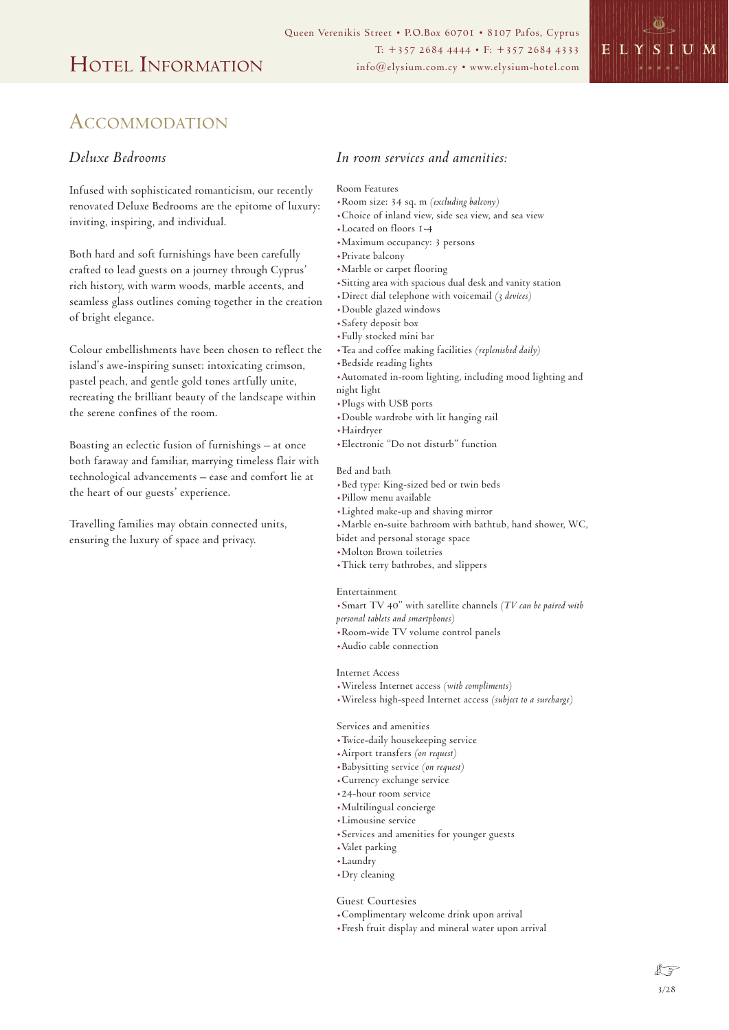

# ACCOMMODATION

## *Deluxe Bedrooms*

Infused with sophisticated romanticism, our recently renovated Deluxe Bedrooms are the epitome of luxury: inviting, inspiring, and individual.

Both hard and soft furnishings have been carefully crafted to lead guests on a journey through Cyprus' rich history, with warm woods, marble accents, and seamless glass outlines coming together in the creation of bright elegance.

Colour embellishments have been chosen to reflect the island's awe-inspiring sunset: intoxicating crimson, pastel peach, and gentle gold tones artfully unite, recreating the brilliant beauty of the landscape within the serene confines of the room.

Boasting an eclectic fusion of furnishings – at once both faraway and familiar, marrying timeless flair with technological advancements – ease and comfort lie at the heart of our guests' experience.

Travelling families may obtain connected units, ensuring the luxury of space and privacy.

## *In room services and amenities:*

### Room Features

- .Room size: 34 sq. m *(excluding balcony)*
- .Choice of inland view, side sea view, and sea view
- .Located on floors 1-4
- .Maximum occupancy: 3 persons
- .Private balcony
- .Marble or carpet flooring
- .Sitting area with spacious dual desk and vanity station
- .Direct dial telephone with voicemail *(3 devices)*
- .Double glazed windows
- .Safety deposit box
- .Fully stocked mini bar
- .Tea and coffee making facilities *(replenished daily)*
- .Bedside reading lights
- .Automated in-room lighting, including mood lighting and
- night light
- .Plugs with USB ports
- .Double wardrobe with lit hanging rail
- .Hairdryer
- .Electronic "Do not disturb" function

#### Bed and bath

- .Bed type: King-sized bed or twin beds
- .Pillow menu available
- .Lighted make-up and shaving mirror
- .Marble en-suite bathroom with bathtub, hand shower, WC,
- bidet and personal storage space
- .Molton Brown toiletries
- .Thick terry bathrobes, and slippers

#### Entertainment

- .Smart TV 40" with satellite channels *(TV can be paired with personal tablets and smartphones)*
- .Room-wide TV volume control panels
- .Audio cable connection

Internet Access

- .Wireless Internet access *(with compliments)*
- .Wireless high-speed Internet access *(subject to a surcharge)*

### Services and amenities

- .Twice-daily housekeeping service
- .Airport transfers *(on request)*
- .Babysitting service *(on request)*
- .Currency exchange service
- .24-hour room service
- .Multilingual concierge
- .Limousine service
- .Services and amenities for younger guests
- .Valet parking
- .Laundry
- .Dry cleaning

### Guest Courtesies

- .Complimentary welcome drink upon arrival
- .Fresh fruit display and mineral water upon arrival